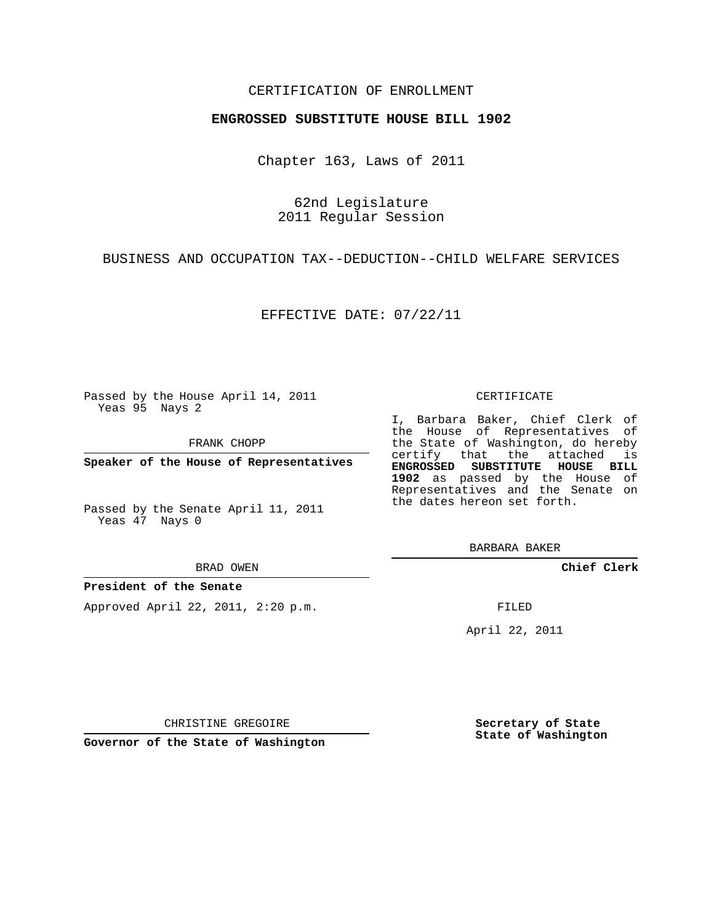## CERTIFICATION OF ENROLLMENT

### **ENGROSSED SUBSTITUTE HOUSE BILL 1902**

Chapter 163, Laws of 2011

62nd Legislature 2011 Regular Session

BUSINESS AND OCCUPATION TAX--DEDUCTION--CHILD WELFARE SERVICES

EFFECTIVE DATE: 07/22/11

Passed by the House April 14, 2011 Yeas 95 Nays 2

FRANK CHOPP

**Speaker of the House of Representatives**

Passed by the Senate April 11, 2011 Yeas 47 Nays 0

#### BRAD OWEN

### **President of the Senate**

Approved April 22, 2011, 2:20 p.m.

#### CERTIFICATE

I, Barbara Baker, Chief Clerk of the House of Representatives of the State of Washington, do hereby certify that the attached is **ENGROSSED SUBSTITUTE HOUSE BILL 1902** as passed by the House of Representatives and the Senate on the dates hereon set forth.

BARBARA BAKER

**Chief Clerk**

FILED

April 22, 2011

CHRISTINE GREGOIRE

**Governor of the State of Washington**

**Secretary of State State of Washington**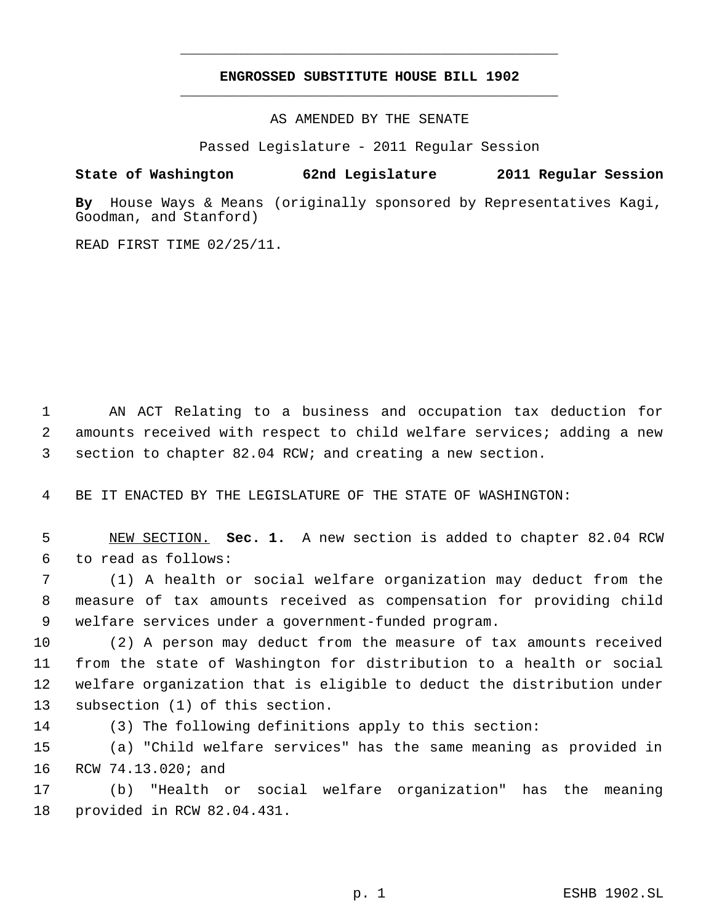# **ENGROSSED SUBSTITUTE HOUSE BILL 1902** \_\_\_\_\_\_\_\_\_\_\_\_\_\_\_\_\_\_\_\_\_\_\_\_\_\_\_\_\_\_\_\_\_\_\_\_\_\_\_\_\_\_\_\_\_

\_\_\_\_\_\_\_\_\_\_\_\_\_\_\_\_\_\_\_\_\_\_\_\_\_\_\_\_\_\_\_\_\_\_\_\_\_\_\_\_\_\_\_\_\_

AS AMENDED BY THE SENATE

Passed Legislature - 2011 Regular Session

## **State of Washington 62nd Legislature 2011 Regular Session**

**By** House Ways & Means (originally sponsored by Representatives Kagi, Goodman, and Stanford)

READ FIRST TIME 02/25/11.

 AN ACT Relating to a business and occupation tax deduction for amounts received with respect to child welfare services; adding a new section to chapter 82.04 RCW; and creating a new section.

BE IT ENACTED BY THE LEGISLATURE OF THE STATE OF WASHINGTON:

 NEW SECTION. **Sec. 1.** A new section is added to chapter 82.04 RCW to read as follows:

 (1) A health or social welfare organization may deduct from the measure of tax amounts received as compensation for providing child welfare services under a government-funded program.

 (2) A person may deduct from the measure of tax amounts received from the state of Washington for distribution to a health or social welfare organization that is eligible to deduct the distribution under subsection (1) of this section.

(3) The following definitions apply to this section:

 (a) "Child welfare services" has the same meaning as provided in RCW 74.13.020; and

 (b) "Health or social welfare organization" has the meaning provided in RCW 82.04.431.